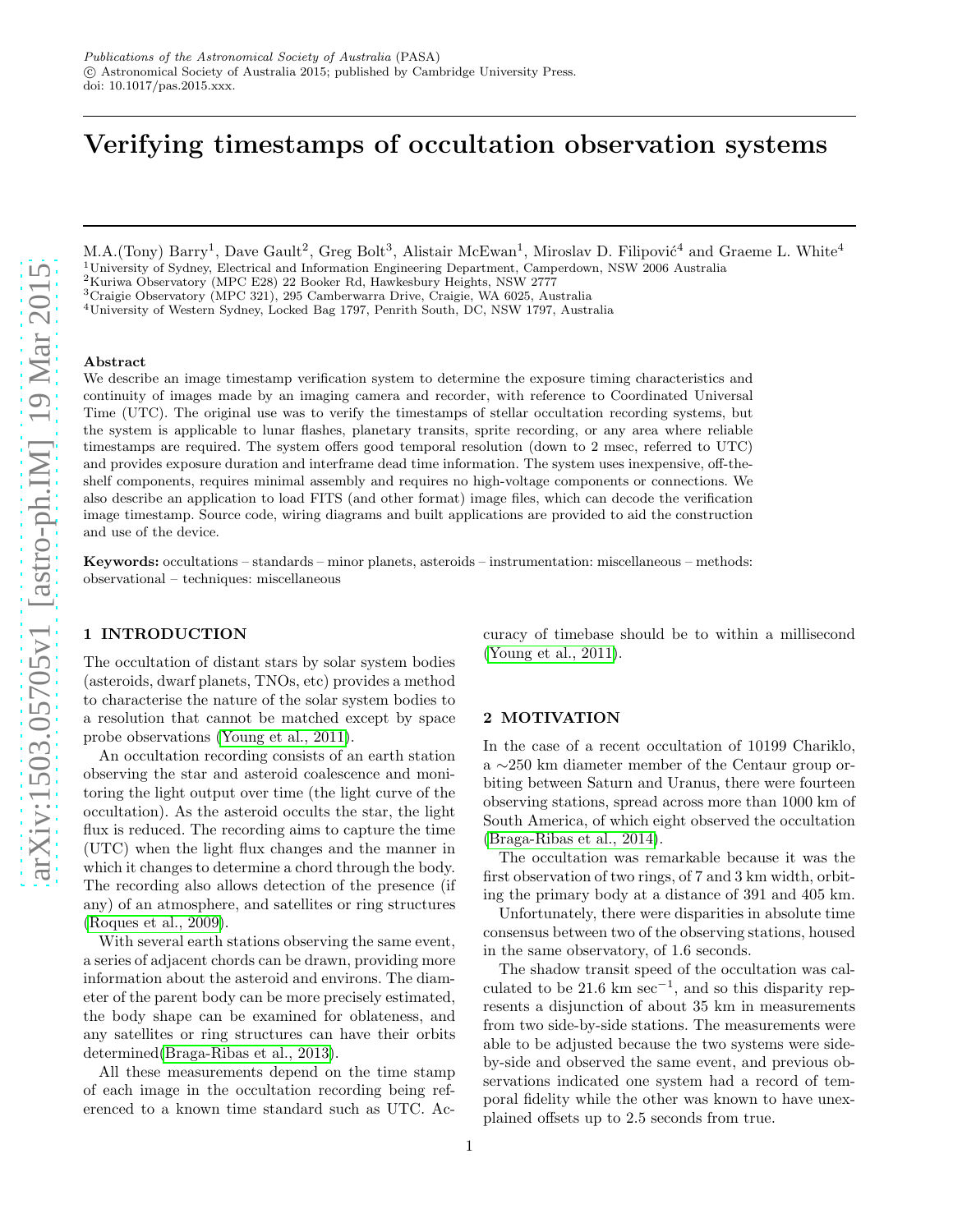# Verifying timestamps of occultation observation systems

M.A.(Tony) Barry<sup>1</sup>, Dave Gault<sup>2</sup>, Greg Bolt<sup>3</sup>, Alistair McEwan<sup>1</sup>, Miroslav D. Filipović<sup>4</sup> and Graeme L. White<sup>4</sup> <sup>1</sup>University of Sydney, Electrical and Information Engineering Department, Camperdown, NSW 2006 Australia

<sup>2</sup>Kuriwa Observatory (MPC E28) 22 Booker Rd, Hawkesbury Heights, NSW 2777 <sup>3</sup>Craigie Observatory (MPC 321), 295 Camberwarra Drive, Craigie, WA 6025, Australia

<sup>4</sup>University of Western Sydney, Locked Bag 1797, Penrith South, DC, NSW 1797, Australia

#### Abstract

We describe an image timestamp verification system to determine the exposure timing characteristics and continuity of images made by an imaging camera and recorder, with reference to Coordinated Universal Time (UTC). The original use was to verify the timestamps of stellar occultation recording systems, but the system is applicable to lunar flashes, planetary transits, sprite recording, or any area where reliable timestamps are required. The system offers good temporal resolution (down to 2 msec, referred to UTC) and provides exposure duration and interframe dead time information. The system uses inexpensive, off-theshelf components, requires minimal assembly and requires no high-voltage components or connections. We also describe an application to load FITS (and other format) image files, which can decode the verification image timestamp. Source code, wiring diagrams and built applications are provided to aid the construction and use of the device.

Keywords: occultations – standards – minor planets, asteroids – instrumentation: miscellaneous – methods: observational – techniques: miscellaneous

# 1 INTRODUCTION

The occultation of distant stars by solar system bodies (asteroids, dwarf planets, TNOs, etc) provides a method to characterise the nature of the solar system bodies to a resolution that cannot be matched except by space probe observations [\(Young et al., 2011\)](#page-6-0).

An occultation recording consists of an earth station observing the star and asteroid coalescence and monitoring the light output over time (the light curve of the occultation). As the asteroid occults the star, the light flux is reduced. The recording aims to capture the time (UTC) when the light flux changes and the manner in which it changes to determine a chord through the body. The recording also allows detection of the presence (if any) of an atmosphere, and satellites or ring structures [\(Roques et al., 2009\)](#page-6-1).

With several earth stations observing the same event, a series of adjacent chords can be drawn, providing more information about the asteroid and environs. The diameter of the parent body can be more precisely estimated, the body shape can be examined for oblateness, and any satellites or ring structures can have their orbits determined[\(Braga-Ribas et al., 2013\)](#page-6-2).

All these measurements depend on the time stamp of each image in the occultation recording being referenced to a known time standard such as UTC. Accuracy of timebase should be to within a millisecond [\(Young et al., 2011\)](#page-6-0).

# <span id="page-0-0"></span>2 MOTIVATION

In the case of a recent occultation of 10199 Chariklo, a ∼250 km diameter member of the Centaur group orbiting between Saturn and Uranus, there were fourteen observing stations, spread across more than 1000 km of South America, of which eight observed the occultation [\(Braga-Ribas et al., 2014\)](#page-6-3).

The occultation was remarkable because it was the first observation of two rings, of 7 and 3 km width, orbiting the primary body at a distance of 391 and 405 km.

Unfortunately, there were disparities in absolute time consensus between two of the observing stations, housed in the same observatory, of 1.6 seconds.

The shadow transit speed of the occultation was calculated to be 21.6 km sec<sup>-1</sup>, and so this disparity represents a disjunction of about 35 km in measurements from two side-by-side stations. The measurements were able to be adjusted because the two systems were sideby-side and observed the same event, and previous observations indicated one system had a record of temporal fidelity while the other was known to have unexplained offsets up to 2.5 seconds from true.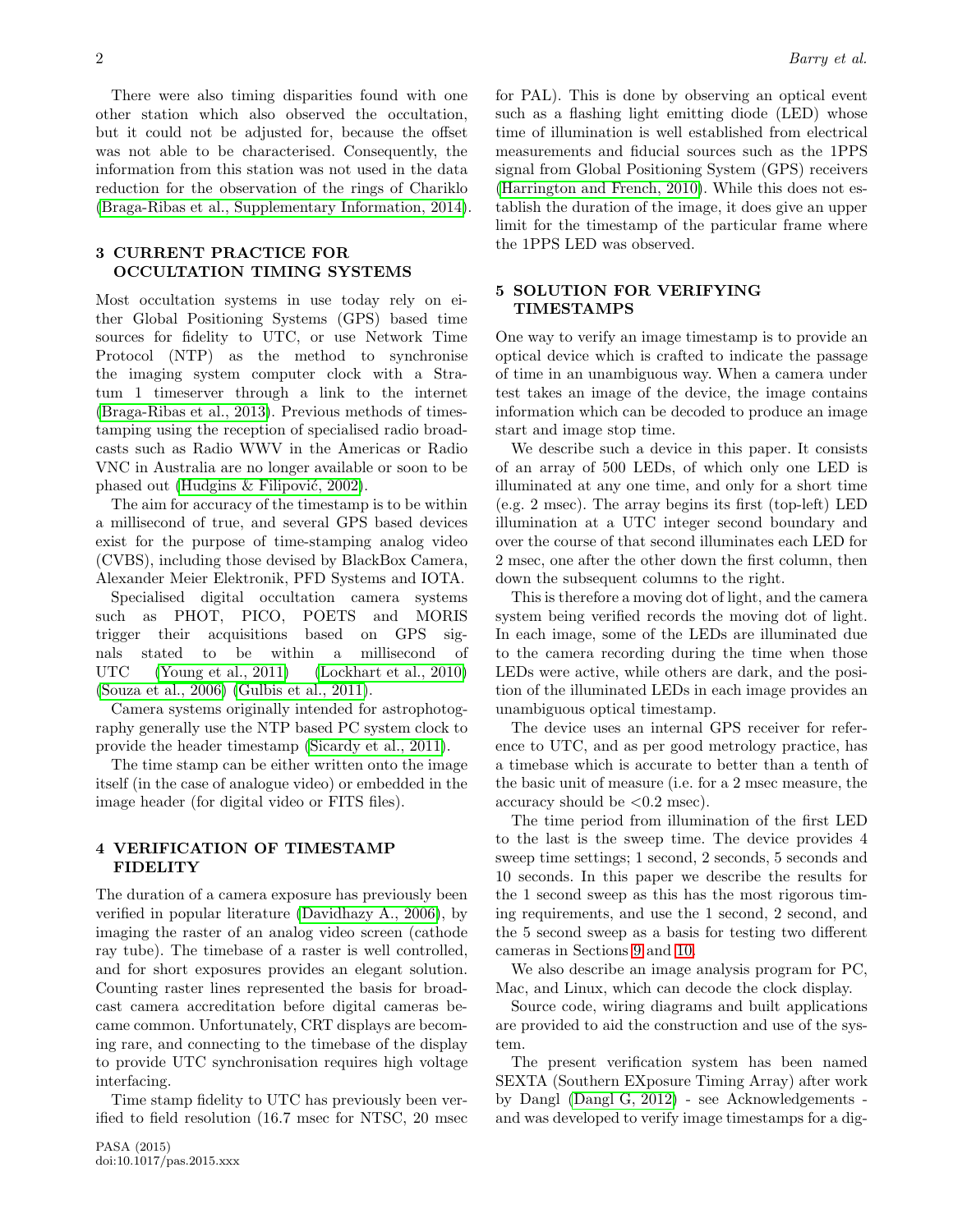There were also timing disparities found with one other station which also observed the occultation, but it could not be adjusted for, because the offset was not able to be characterised. Consequently, the information from this station was not used in the data reduction for the observation of the rings of Chariklo [\(Braga-Ribas et al., Supplementary Information, 2014\)](#page-6-4).

# 3 CURRENT PRACTICE FOR OCCULTATION TIMING SYSTEMS

Most occultation systems in use today rely on either Global Positioning Systems (GPS) based time sources for fidelity to UTC, or use Network Time Protocol (NTP) as the method to synchronise the imaging system computer clock with a Stratum 1 timeserver through a link to the internet [\(Braga-Ribas et al., 2013\)](#page-6-2). Previous methods of timestamping using the reception of specialised radio broadcasts such as Radio WWV in the Americas or Radio VNC in Australia are no longer available or soon to be phased out (Hudgins  $&$  Filipović, 2002).

The aim for accuracy of the timestamp is to be within a millisecond of true, and several GPS based devices exist for the purpose of time-stamping analog video (CVBS), including those devised by BlackBox Camera, Alexander Meier Elektronik, PFD Systems and IOTA.

Specialised digital occultation camera systems such as PHOT, PICO, POETS and MORIS trigger their acquisitions based on GPS signals stated to be within a millisecond of UTC [\(Young et al., 2011\)](#page-6-0) [\(Lockhart et al., 2010\)](#page-6-6) [\(Souza et al., 2006\)](#page-6-7) [\(Gulbis et al., 2011\)](#page-6-8).

Camera systems originally intended for astrophotography generally use the NTP based PC system clock to provide the header timestamp [\(Sicardy et al., 2011\)](#page-6-9).

The time stamp can be either written onto the image itself (in the case of analogue video) or embedded in the image header (for digital video or FITS files).

# 4 VERIFICATION OF TIMESTAMP FIDELITY

The duration of a camera exposure has previously been verified in popular literature [\(Davidhazy A., 2006\)](#page-6-10), by imaging the raster of an analog video screen (cathode ray tube). The timebase of a raster is well controlled, and for short exposures provides an elegant solution. Counting raster lines represented the basis for broadcast camera accreditation before digital cameras became common. Unfortunately, CRT displays are becoming rare, and connecting to the timebase of the display to provide UTC synchronisation requires high voltage interfacing.

Time stamp fidelity to UTC has previously been verified to field resolution (16.7 msec for NTSC, 20 msec for PAL). This is done by observing an optical event such as a flashing light emitting diode (LED) whose time of illumination is well established from electrical measurements and fiducial sources such as the 1PPS signal from Global Positioning System (GPS) receivers [\(Harrington and French, 2010\)](#page-6-11). While this does not establish the duration of the image, it does give an upper limit for the timestamp of the particular frame where the 1PPS LED was observed.

# 5 SOLUTION FOR VERIFYING TIMESTAMPS

One way to verify an image timestamp is to provide an optical device which is crafted to indicate the passage of time in an unambiguous way. When a camera under test takes an image of the device, the image contains information which can be decoded to produce an image start and image stop time.

We describe such a device in this paper. It consists of an array of 500 LEDs, of which only one LED is illuminated at any one time, and only for a short time (e.g. 2 msec). The array begins its first (top-left) LED illumination at a UTC integer second boundary and over the course of that second illuminates each LED for 2 msec, one after the other down the first column, then down the subsequent columns to the right.

This is therefore a moving dot of light, and the camera system being verified records the moving dot of light. In each image, some of the LEDs are illuminated due to the camera recording during the time when those LEDs were active, while others are dark, and the position of the illuminated LEDs in each image provides an unambiguous optical timestamp.

The device uses an internal GPS receiver for reference to UTC, and as per good metrology practice, has a timebase which is accurate to better than a tenth of the basic unit of measure (i.e. for a 2 msec measure, the accuracy should be  $\langle 0.2 \text{ msec} \rangle$ .

The time period from illumination of the first LED to the last is the sweep time. The device provides 4 sweep time settings; 1 second, 2 seconds, 5 seconds and 10 seconds. In this paper we describe the results for the 1 second sweep as this has the most rigorous timing requirements, and use the 1 second, 2 second, and the 5 second sweep as a basis for testing two different cameras in Sections [9](#page-3-0) and [10.](#page-3-1)

We also describe an image analysis program for PC, Mac, and Linux, which can decode the clock display.

Source code, wiring diagrams and built applications are provided to aid the construction and use of the system.

The present verification system has been named SEXTA (Southern EXposure Timing Array) after work by Dangl [\(Dangl G, 2012\)](#page-6-12) - see Acknowledgements and was developed to verify image timestamps for a dig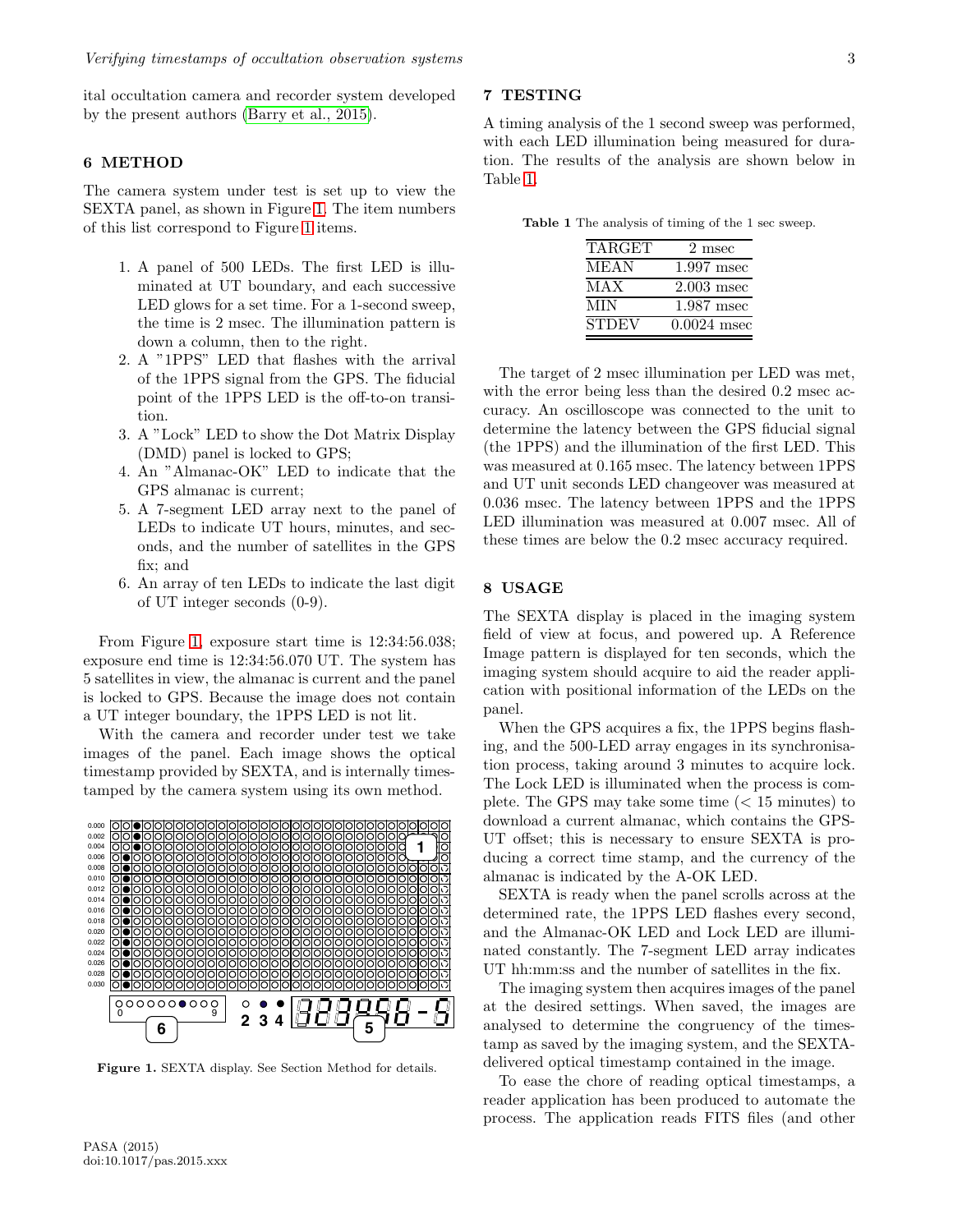ital occultation camera and recorder system developed by the present authors [\(Barry et al., 2015\)](#page-6-13).

## 6 METHOD

The camera system under test is set up to view the SEXTA panel, as shown in Figure [1.](#page-2-0) The item numbers of this list correspond to Figure [1](#page-2-0) items.

- 1. A panel of 500 LEDs. The first LED is illuminated at UT boundary, and each successive LED glows for a set time. For a 1-second sweep, the time is 2 msec. The illumination pattern is down a column, then to the right.
- 2. A "1PPS" LED that flashes with the arrival of the 1PPS signal from the GPS. The fiducial point of the 1PPS LED is the off-to-on transition.
- 3. A "Lock" LED to show the Dot Matrix Display (DMD) panel is locked to GPS;
- 4. An "Almanac-OK" LED to indicate that the GPS almanac is current;
- 5. A 7-segment LED array next to the panel of LEDs to indicate UT hours, minutes, and seconds, and the number of satellites in the GPS fix; and
- 6. An array of ten LEDs to indicate the last digit of UT integer seconds (0-9).

From Figure [1,](#page-2-0) exposure start time is 12:34:56.038; exposure end time is 12:34:56.070 UT. The system has 5 satellites in view, the almanac is current and the panel is locked to GPS. Because the image does not contain a UT integer boundary, the 1PPS LED is not lit.

With the camera and recorder under test we take images of the panel. Each image shows the optical timestamp provided by SEXTA, and is internally timestamped by the camera system using its own method.



<span id="page-2-0"></span>Figure 1. SEXTA display. See Section Method for details.

# 7 TESTING

A timing analysis of the 1 second sweep was performed, with each LED illumination being measured for duration. The results of the analysis are shown below in Table [1.](#page-2-1)

| <b>Table 1</b> The analysis of timing of the 1 sec sweep. |  |  |  |  |  |  |  |  |  |  |
|-----------------------------------------------------------|--|--|--|--|--|--|--|--|--|--|
|-----------------------------------------------------------|--|--|--|--|--|--|--|--|--|--|

<span id="page-2-1"></span>

| TARGET       | 2 msec        |
|--------------|---------------|
| MEAN         | $1.997$ msec  |
| MAX          | $2.003$ msec  |
| MIN          | $1.987$ msec  |
| <b>STDEV</b> | $0.0024$ msec |

The target of 2 msec illumination per LED was met, with the error being less than the desired 0.2 msec accuracy. An oscilloscope was connected to the unit to determine the latency between the GPS fiducial signal (the 1PPS) and the illumination of the first LED. This was measured at 0.165 msec. The latency between 1PPS and UT unit seconds LED changeover was measured at 0.036 msec. The latency between 1PPS and the 1PPS LED illumination was measured at 0.007 msec. All of these times are below the 0.2 msec accuracy required.

## <span id="page-2-2"></span>8 USAGE

The SEXTA display is placed in the imaging system field of view at focus, and powered up. A Reference Image pattern is displayed for ten seconds, which the imaging system should acquire to aid the reader application with positional information of the LEDs on the panel.

When the GPS acquires a fix, the 1PPS begins flashing, and the 500-LED array engages in its synchronisation process, taking around 3 minutes to acquire lock. The Lock LED is illuminated when the process is complete. The GPS may take some time  $(< 15$  minutes) to download a current almanac, which contains the GPS-UT offset; this is necessary to ensure SEXTA is producing a correct time stamp, and the currency of the almanac is indicated by the A-OK LED.

SEXTA is ready when the panel scrolls across at the determined rate, the 1PPS LED flashes every second, and the Almanac-OK LED and Lock LED are illuminated constantly. The 7-segment LED array indicates UT hh:mm:ss and the number of satellites in the fix.

The imaging system then acquires images of the panel at the desired settings. When saved, the images are analysed to determine the congruency of the timestamp as saved by the imaging system, and the SEXTAdelivered optical timestamp contained in the image.

To ease the chore of reading optical timestamps, a reader application has been produced to automate the process. The application reads FITS files (and other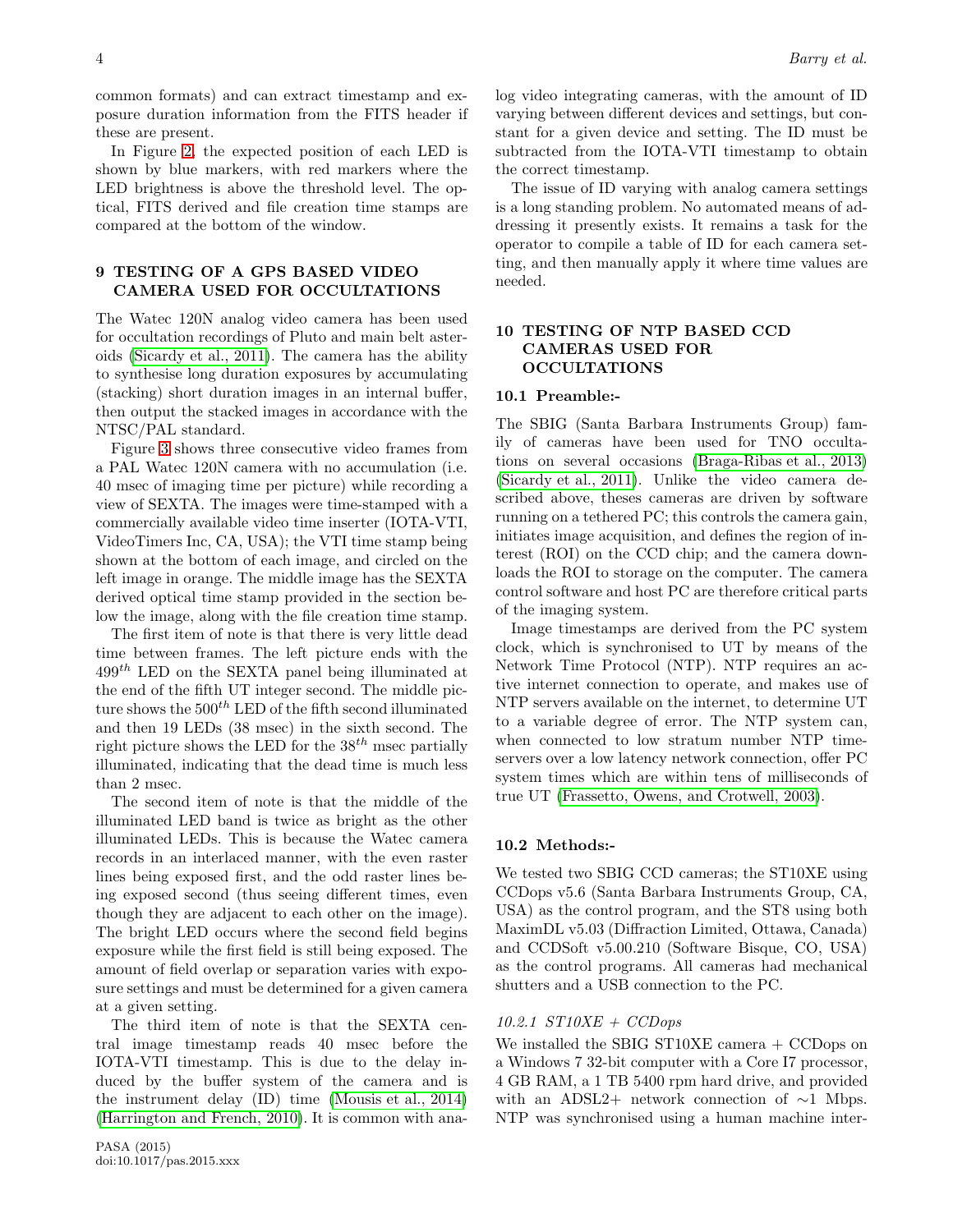common formats) and can extract timestamp and exposure duration information from the FITS header if these are present.

In Figure [2,](#page-7-0) the expected position of each LED is shown by blue markers, with red markers where the LED brightness is above the threshold level. The optical, FITS derived and file creation time stamps are compared at the bottom of the window.

# <span id="page-3-0"></span>9 TESTING OF A GPS BASED VIDEO CAMERA USED FOR OCCULTATIONS

The Watec 120N analog video camera has been used for occultation recordings of Pluto and main belt asteroids [\(Sicardy et al., 2011\)](#page-6-9). The camera has the ability to synthesise long duration exposures by accumulating (stacking) short duration images in an internal buffer, then output the stacked images in accordance with the NTSC/PAL standard.

Figure [3](#page-7-1) shows three consecutive video frames from a PAL Watec 120N camera with no accumulation (i.e. 40 msec of imaging time per picture) while recording a view of SEXTA. The images were time-stamped with a commercially available video time inserter (IOTA-VTI, VideoTimers Inc, CA, USA); the VTI time stamp being shown at the bottom of each image, and circled on the left image in orange. The middle image has the SEXTA derived optical time stamp provided in the section below the image, along with the file creation time stamp.

The first item of note is that there is very little dead time between frames. The left picture ends with the  $499<sup>th</sup>$  LED on the SEXTA panel being illuminated at the end of the fifth UT integer second. The middle picture shows the  $500^{th}$  LED of the fifth second illuminated and then 19 LEDs (38 msec) in the sixth second. The right picture shows the LED for the  $38^{th}$  msec partially illuminated, indicating that the dead time is much less than 2 msec.

The second item of note is that the middle of the illuminated LED band is twice as bright as the other illuminated LEDs. This is because the Watec camera records in an interlaced manner, with the even raster lines being exposed first, and the odd raster lines being exposed second (thus seeing different times, even though they are adjacent to each other on the image). The bright LED occurs where the second field begins exposure while the first field is still being exposed. The amount of field overlap or separation varies with exposure settings and must be determined for a given camera at a given setting.

The third item of note is that the SEXTA central image timestamp reads 40 msec before the IOTA-VTI timestamp. This is due to the delay induced by the buffer system of the camera and is the instrument delay (ID) time [\(Mousis et al., 2014\)](#page-6-14) [\(Harrington and French, 2010\)](#page-6-11). It is common with anathe correct timestamp. The issue of ID varying with analog camera settings is a long standing problem. No automated means of addressing it presently exists. It remains a task for the operator to compile a table of ID for each camera setting, and then manually apply it where time values are needed.

# <span id="page-3-1"></span>10 TESTING OF NTP BASED CCD CAMERAS USED FOR **OCCULTATIONS**

#### 10.1 Preamble:-

The SBIG (Santa Barbara Instruments Group) family of cameras have been used for TNO occultations on several occasions [\(Braga-Ribas et al., 2013\)](#page-6-2) [\(Sicardy et al., 2011\)](#page-6-9). Unlike the video camera described above, theses cameras are driven by software running on a tethered PC; this controls the camera gain, initiates image acquisition, and defines the region of interest (ROI) on the CCD chip; and the camera downloads the ROI to storage on the computer. The camera control software and host PC are therefore critical parts of the imaging system.

Image timestamps are derived from the PC system clock, which is synchronised to UT by means of the Network Time Protocol (NTP). NTP requires an active internet connection to operate, and makes use of NTP servers available on the internet, to determine UT to a variable degree of error. The NTP system can, when connected to low stratum number NTP timeservers over a low latency network connection, offer PC system times which are within tens of milliseconds of true UT [\(Frassetto, Owens, and Crotwell, 2003\)](#page-6-15).

#### 10.2 Methods:-

We tested two SBIG CCD cameras; the ST10XE using CCDops v5.6 (Santa Barbara Instruments Group, CA, USA) as the control program, and the ST8 using both MaximDL v5.03 (Diffraction Limited, Ottawa, Canada) and CCDSoft v5.00.210 (Software Bisque, CO, USA) as the control programs. All cameras had mechanical shutters and a USB connection to the PC.

#### $10.2.1$   $ST10XE + CCDops$

We installed the SBIG ST10XE camera + CCDops on a Windows 7 32-bit computer with a Core I7 processor, 4 GB RAM, a 1 TB 5400 rpm hard drive, and provided with an ADSL2+ network connection of ∼1 Mbps. NTP was synchronised using a human machine inter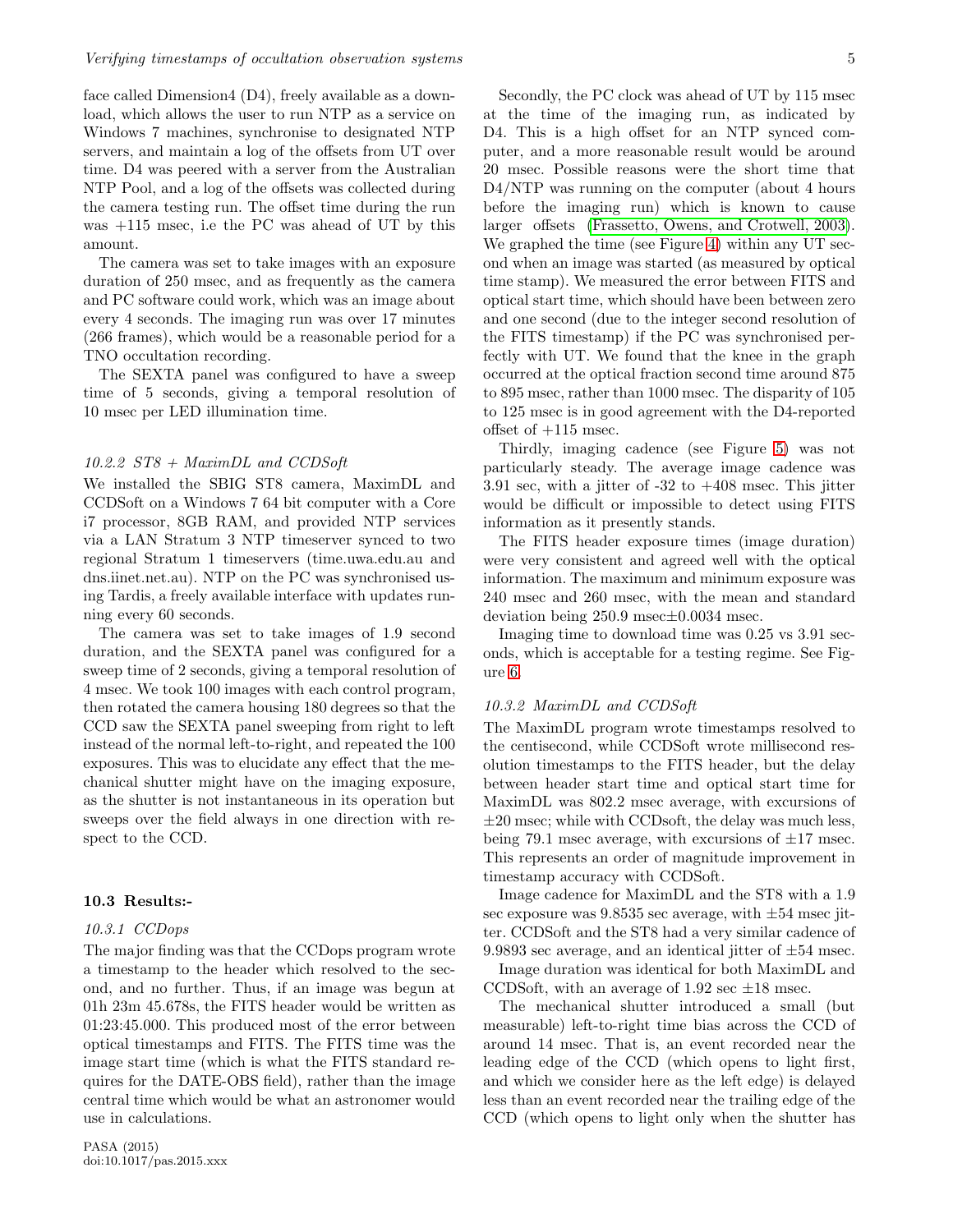face called Dimension4 (D4), freely available as a download, which allows the user to run NTP as a service on Windows 7 machines, synchronise to designated NTP servers, and maintain a log of the offsets from UT over time. D4 was peered with a server from the Australian NTP Pool, and a log of the offsets was collected during the camera testing run. The offset time during the run was +115 msec, i.e the PC was ahead of UT by this amount.

The camera was set to take images with an exposure duration of 250 msec, and as frequently as the camera and PC software could work, which was an image about every 4 seconds. The imaging run was over 17 minutes (266 frames), which would be a reasonable period for a TNO occultation recording.

The SEXTA panel was configured to have a sweep time of 5 seconds, giving a temporal resolution of 10 msec per LED illumination time.

#### 10.2.2 ST8 + MaximDL and CCDSoft

We installed the SBIG ST8 camera, MaximDL and CCDSoft on a Windows 7 64 bit computer with a Core i7 processor, 8GB RAM, and provided NTP services via a LAN Stratum 3 NTP timeserver synced to two regional Stratum 1 timeservers (time.uwa.edu.au and dns.iinet.net.au). NTP on the PC was synchronised using Tardis, a freely available interface with updates running every 60 seconds.

The camera was set to take images of 1.9 second duration, and the SEXTA panel was configured for a sweep time of 2 seconds, giving a temporal resolution of 4 msec. We took 100 images with each control program, then rotated the camera housing 180 degrees so that the CCD saw the SEXTA panel sweeping from right to left instead of the normal left-to-right, and repeated the 100 exposures. This was to elucidate any effect that the mechanical shutter might have on the imaging exposure, as the shutter is not instantaneous in its operation but sweeps over the field always in one direction with respect to the CCD.

#### <span id="page-4-0"></span>10.3 Results:-

#### 10.3.1 CCDops

The major finding was that the CCDops program wrote a timestamp to the header which resolved to the second, and no further. Thus, if an image was begun at 01h 23m 45.678s, the FITS header would be written as 01:23:45.000. This produced most of the error between optical timestamps and FITS. The FITS time was the image start time (which is what the FITS standard requires for the DATE-OBS field), rather than the image central time which would be what an astronomer would use in calculations.

Secondly, the PC clock was ahead of UT by 115 msec at the time of the imaging run, as indicated by D4. This is a high offset for an NTP synced computer, and a more reasonable result would be around 20 msec. Possible reasons were the short time that D4/NTP was running on the computer (about 4 hours before the imaging run) which is known to cause larger offsets [\(Frassetto, Owens, and Crotwell, 2003\)](#page-6-15). We graphed the time (see Figure [4\)](#page-8-0) within any UT second when an image was started (as measured by optical time stamp). We measured the error between FITS and optical start time, which should have been between zero and one second (due to the integer second resolution of the FITS timestamp) if the PC was synchronised perfectly with UT. We found that the knee in the graph occurred at the optical fraction second time around 875 to 895 msec, rather than 1000 msec. The disparity of 105 to 125 msec is in good agreement with the D4-reported offset of  $+115$  msec.

Thirdly, imaging cadence (see Figure [5\)](#page-8-1) was not particularly steady. The average image cadence was 3.91 sec, with a jitter of  $-32$  to  $+408$  msec. This jitter would be difficult or impossible to detect using FITS information as it presently stands.

The FITS header exposure times (image duration) were very consistent and agreed well with the optical information. The maximum and minimum exposure was 240 msec and 260 msec, with the mean and standard deviation being 250.9 msec±0.0034 msec.

Imaging time to download time was 0.25 vs 3.91 seconds, which is acceptable for a testing regime. See Figure [6.](#page-9-0)

#### <span id="page-4-1"></span>10.3.2 MaximDL and CCDSoft

The MaximDL program wrote timestamps resolved to the centisecond, while CCDSoft wrote millisecond resolution timestamps to the FITS header, but the delay between header start time and optical start time for MaximDL was 802.2 msec average, with excursions of  $\pm 20$  msec; while with CCDsoft, the delay was much less, being 79.1 msec average, with excursions of  $\pm 17$  msec. This represents an order of magnitude improvement in timestamp accuracy with CCDSoft.

Image cadence for MaximDL and the ST8 with a 1.9 sec exposure was  $9.8535$  sec average, with  $\pm 54$  msec jitter. CCDSoft and the ST8 had a very similar cadence of 9.9893 sec average, and an identical jitter of  $\pm 54$  msec.

Image duration was identical for both MaximDL and CCDSoft, with an average of 1.92 sec  $\pm 18$  msec.

The mechanical shutter introduced a small (but measurable) left-to-right time bias across the CCD of around 14 msec. That is, an event recorded near the leading edge of the CCD (which opens to light first, and which we consider here as the left edge) is delayed less than an event recorded near the trailing edge of the CCD (which opens to light only when the shutter has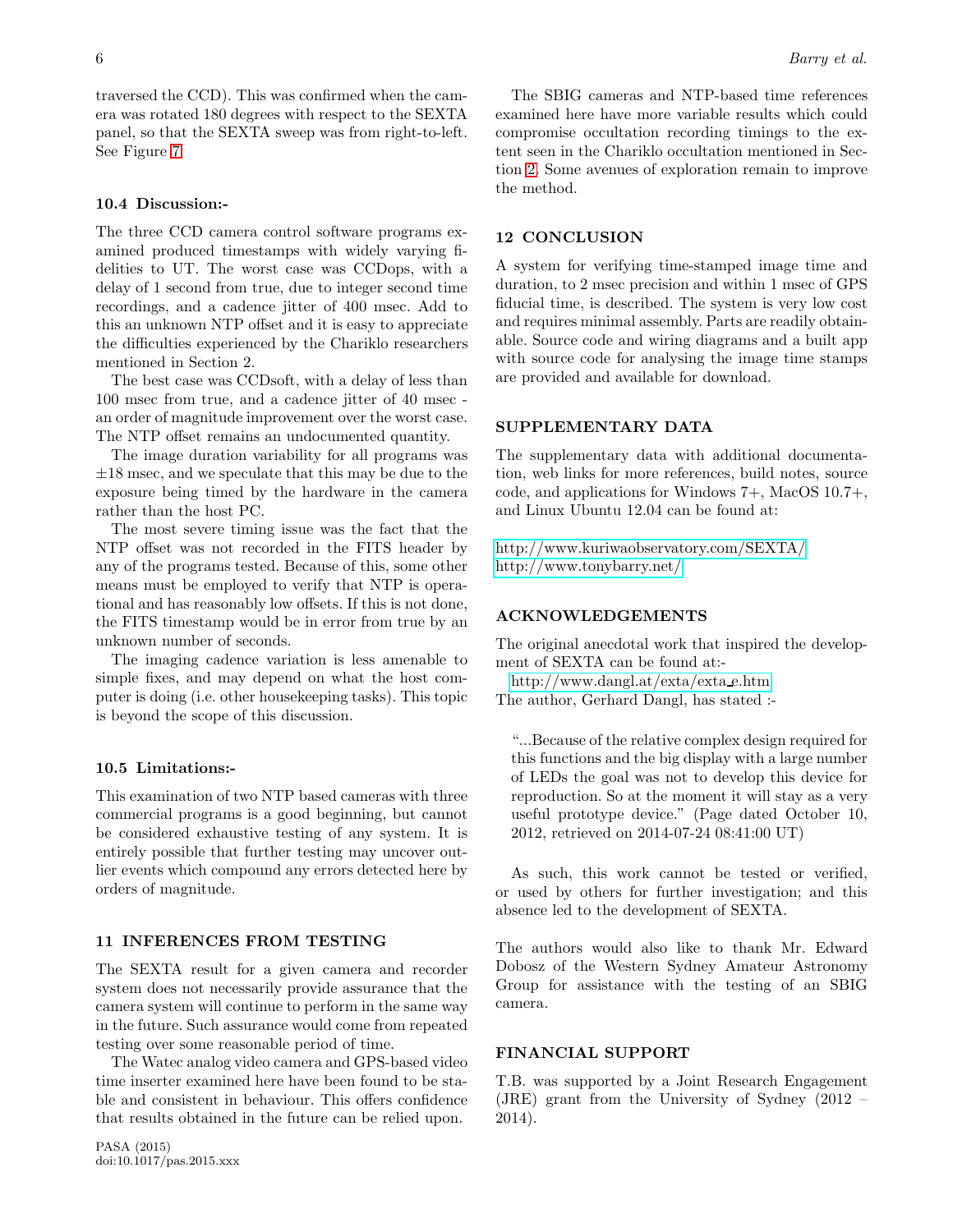traversed the CCD). This was confirmed when the camera was rotated 180 degrees with respect to the SEXTA panel, so that the SEXTA sweep was from right-to-left. See Figure [7.](#page-9-1)

## 10.4 Discussion:-

The three CCD camera control software programs examined produced timestamps with widely varying fidelities to UT. The worst case was CCDops, with a delay of 1 second from true, due to integer second time recordings, and a cadence jitter of 400 msec. Add to this an unknown NTP offset and it is easy to appreciate the difficulties experienced by the Chariklo researchers mentioned in Section 2.

The best case was CCDsoft, with a delay of less than 100 msec from true, and a cadence jitter of 40 msec an order of magnitude improvement over the worst case. The NTP offset remains an undocumented quantity.

The image duration variability for all programs was  $\pm 18$  msec, and we speculate that this may be due to the exposure being timed by the hardware in the camera rather than the host PC.

The most severe timing issue was the fact that the NTP offset was not recorded in the FITS header by any of the programs tested. Because of this, some other means must be employed to verify that NTP is operational and has reasonably low offsets. If this is not done, the FITS timestamp would be in error from true by an unknown number of seconds.

The imaging cadence variation is less amenable to simple fixes, and may depend on what the host computer is doing (i.e. other housekeeping tasks). This topic is beyond the scope of this discussion.

#### 10.5 Limitations:-

This examination of two NTP based cameras with three commercial programs is a good beginning, but cannot be considered exhaustive testing of any system. It is entirely possible that further testing may uncover outlier events which compound any errors detected here by orders of magnitude.

# 11 INFERENCES FROM TESTING

The SEXTA result for a given camera and recorder system does not necessarily provide assurance that the camera system will continue to perform in the same way in the future. Such assurance would come from repeated testing over some reasonable period of time.

The Watec analog video camera and GPS-based video time inserter examined here have been found to be stable and consistent in behaviour. This offers confidence that results obtained in the future can be relied upon.

The SBIG cameras and NTP-based time references examined here have more variable results which could compromise occultation recording timings to the extent seen in the Chariklo occultation mentioned in Section [2.](#page-0-0) Some avenues of exploration remain to improve the method.

## 12 CONCLUSION

A system for verifying time-stamped image time and duration, to 2 msec precision and within 1 msec of GPS fiducial time, is described. The system is very low cost and requires minimal assembly. Parts are readily obtainable. Source code and wiring diagrams and a built app with source code for analysing the image time stamps are provided and available for download.

# SUPPLEMENTARY DATA

The supplementary data with additional documentation, web links for more references, build notes, source code, and applications for Windows 7+, MacOS 10.7+, and Linux Ubuntu 12.04 can be found at:

<http://www.kuriwaobservatory.com/SEXTA/> <http://www.tonybarry.net/>

## ACKNOWLEDGEMENTS

The original anecdotal work that inspired the development of SEXTA can be found at:-

[http://www.dangl.at/exta/exta](http://www.dangl.at/exta/exta_e.htm) e.htm The author, Gerhard Dangl, has stated :-

"...Because of the relative complex design required for this functions and the big display with a large number of LEDs the goal was not to develop this device for reproduction. So at the moment it will stay as a very useful prototype device." (Page dated October 10, 2012, retrieved on 2014-07-24 08:41:00 UT)

As such, this work cannot be tested or verified, or used by others for further investigation; and this absence led to the development of SEXTA.

The authors would also like to thank Mr. Edward Dobosz of the Western Sydney Amateur Astronomy Group for assistance with the testing of an SBIG camera.

# FINANCIAL SUPPORT

T.B. was supported by a Joint Research Engagement (JRE) grant from the University of Sydney (2012 – 2014).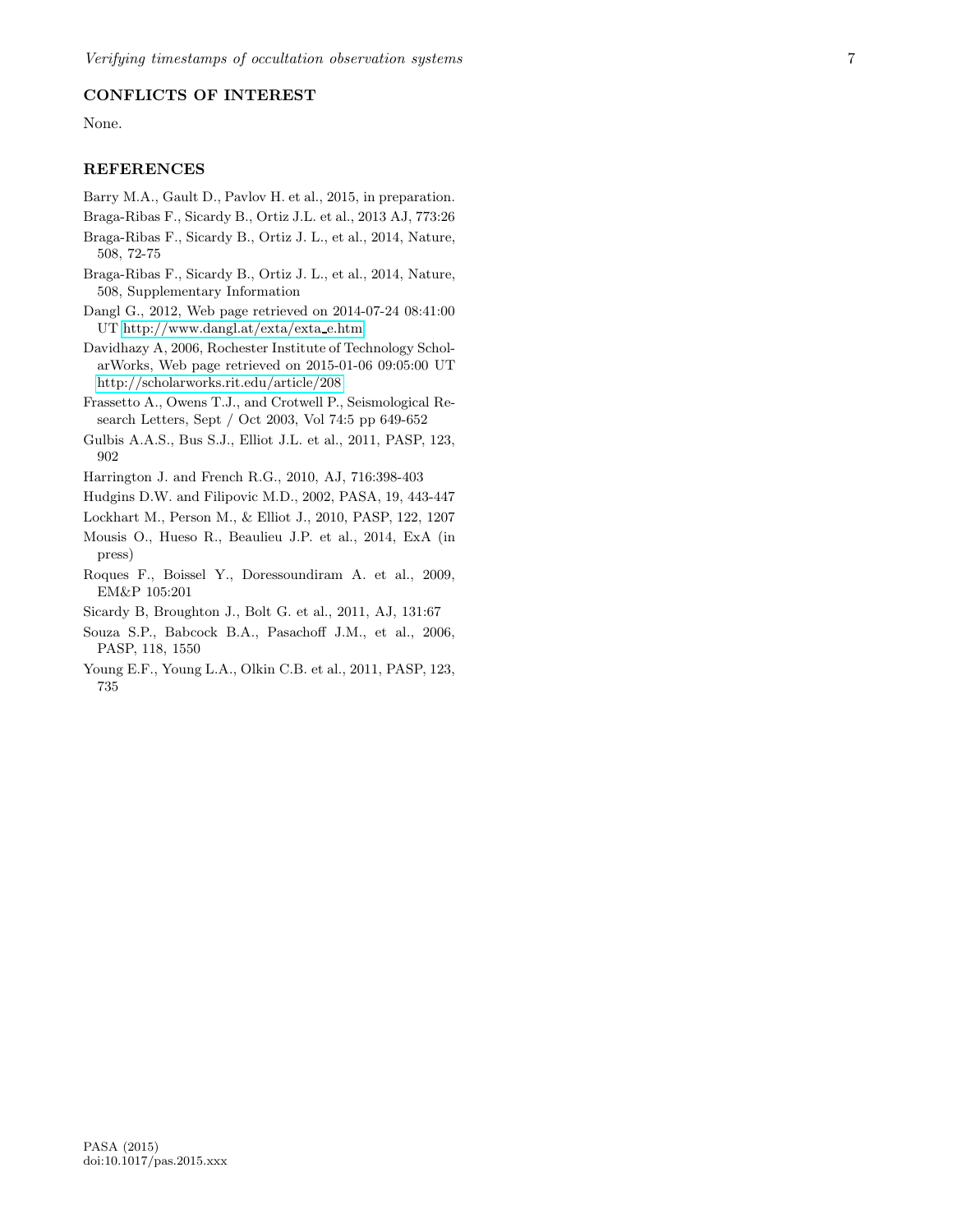# CONFLICTS OF INTEREST

None.

# REFERENCES

- <span id="page-6-13"></span>Barry M.A., Gault D., Pavlov H. et al., 2015, in preparation.
- <span id="page-6-2"></span>Braga-Ribas F., Sicardy B., Ortiz J.L. et al., 2013 AJ, 773:26
- <span id="page-6-3"></span>Braga-Ribas F., Sicardy B., Ortiz J. L., et al., 2014, Nature, 508, 72-75
- <span id="page-6-4"></span>Braga-Ribas F., Sicardy B., Ortiz J. L., et al., 2014, Nature, 508, Supplementary Information
- <span id="page-6-12"></span>Dangl G., 2012, Web page retrieved on 2014-07-24 08:41:00 UT [http://www.dangl.at/exta/exta](http://www.dangl.at/exta/exta_e.htm) e.htm
- <span id="page-6-10"></span>Davidhazy A, 2006, Rochester Institute of Technology ScholarWorks, Web page retrieved on 2015-01-06 09:05:00 UT <http://scholarworks.rit.edu/article/208>
- <span id="page-6-15"></span>Frassetto A., Owens T.J., and Crotwell P., Seismological Research Letters, Sept / Oct 2003, Vol 74:5 pp 649-652
- <span id="page-6-8"></span>Gulbis A.A.S., Bus S.J., Elliot J.L. et al., 2011, PASP, 123, 902
- <span id="page-6-11"></span>Harrington J. and French R.G., 2010, AJ, 716:398-403
- <span id="page-6-5"></span>Hudgins D.W. and Filipovic M.D., 2002, PASA, 19, 443-447
- <span id="page-6-6"></span>Lockhart M., Person M., & Elliot J., 2010, PASP, 122, 1207
- <span id="page-6-14"></span>Mousis O., Hueso R., Beaulieu J.P. et al., 2014, ExA (in press)
- <span id="page-6-1"></span>Roques F., Boissel Y., Doressoundiram A. et al., 2009, EM&P 105:201
- <span id="page-6-9"></span>Sicardy B, Broughton J., Bolt G. et al., 2011, AJ, 131:67
- <span id="page-6-7"></span>Souza S.P., Babcock B.A., Pasachoff J.M., et al., 2006, PASP, 118, 1550
- <span id="page-6-0"></span>Young E.F., Young L.A., Olkin C.B. et al., 2011, PASP, 123, 735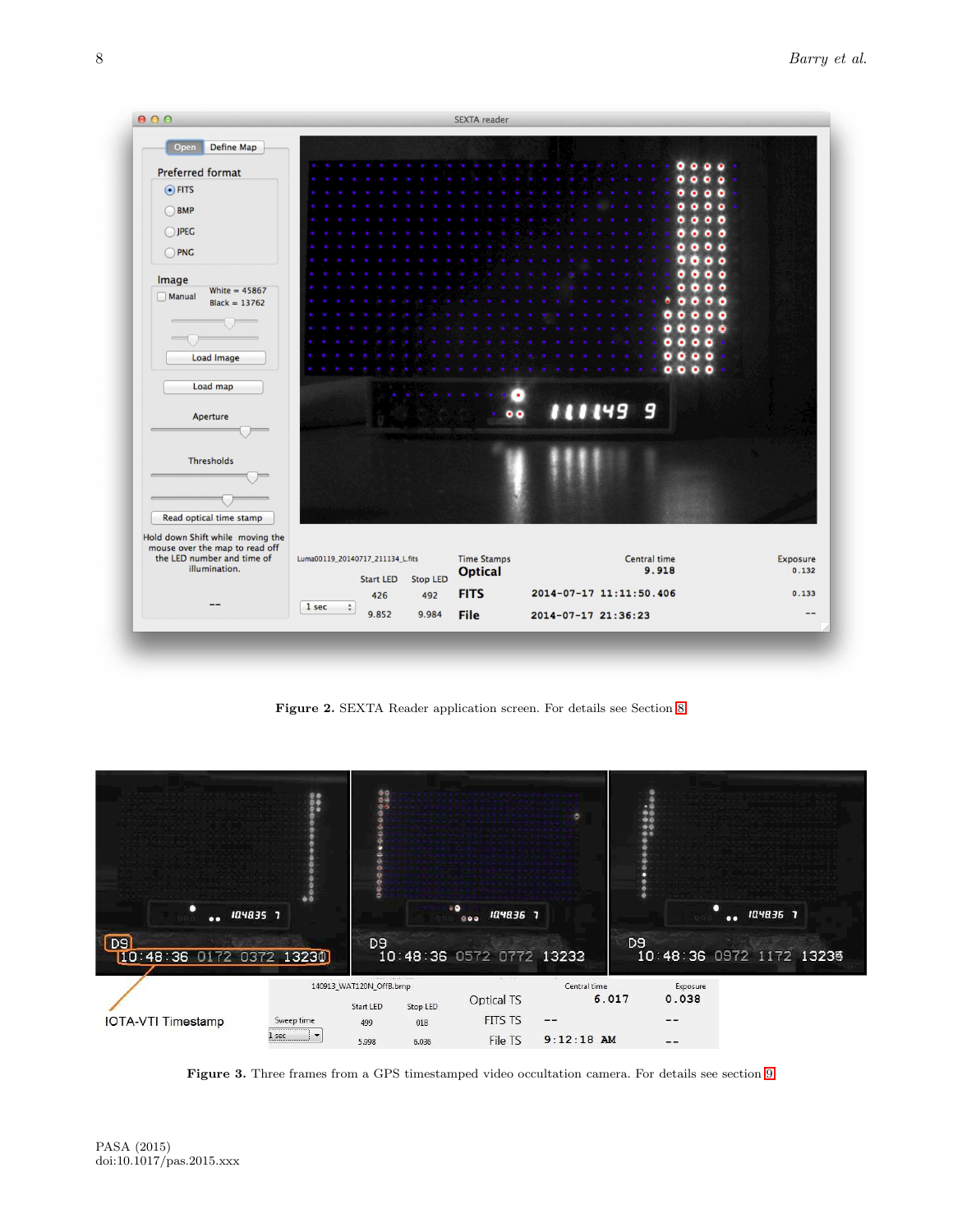

<span id="page-7-0"></span>Figure 2. SEXTA Reader application screen. For details see Section [8.](#page-2-2)



<span id="page-7-1"></span>Figure 3. Three frames from a GPS timestamped video occultation camera. For details see section [9.](#page-3-0)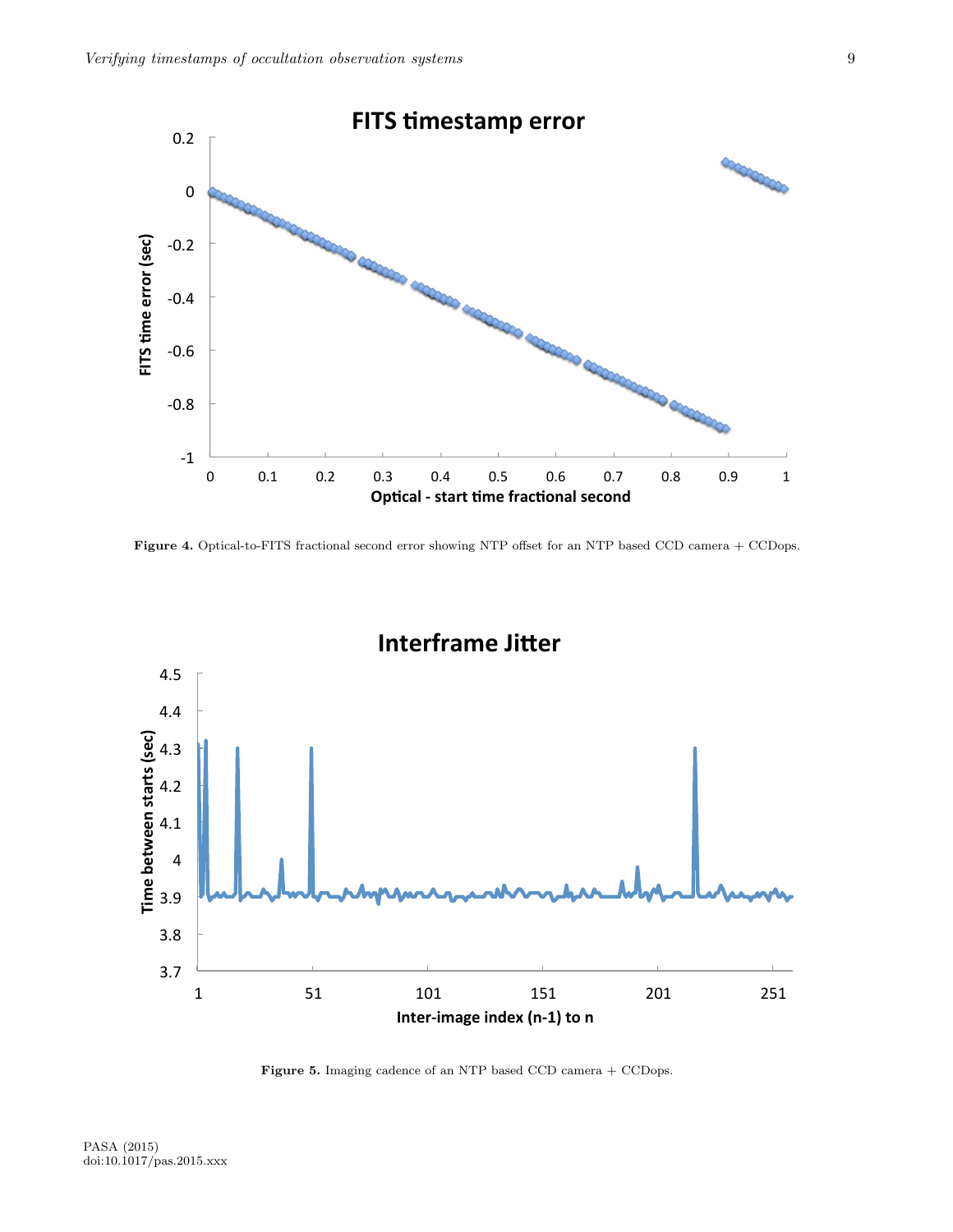

<span id="page-8-0"></span>Figure 4. Optical-to-FITS fractional second error showing NTP offset for an NTP based CCD camera + CCDops.



<span id="page-8-1"></span>Figure 5. Imaging cadence of an NTP based CCD camera + CCDops.